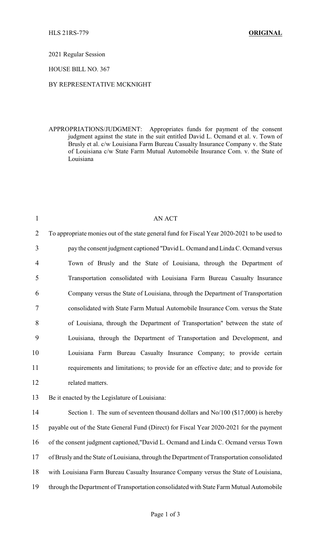2021 Regular Session

HOUSE BILL NO. 367

## BY REPRESENTATIVE MCKNIGHT

APPROPRIATIONS/JUDGMENT: Appropriates funds for payment of the consent judgment against the state in the suit entitled David L. Ocmand et al. v. Town of Brusly et al. c/w Louisiana Farm Bureau Casualty Insurance Company v. the State of Louisiana c/w State Farm Mutual Automobile Insurance Com. v. the State of Louisiana

| $\mathbf{1}$   | <b>AN ACT</b>                                                                               |
|----------------|---------------------------------------------------------------------------------------------|
| $\overline{2}$ | To appropriate monies out of the state general fund for Fiscal Year 2020-2021 to be used to |
| 3              | pay the consent judgment captioned "David L. Ocmand and Linda C. Ocmand versus              |
| 4              | Town of Brusly and the State of Louisiana, through the Department of                        |
| 5              | Transportation consolidated with Louisiana Farm Bureau Casualty Insurance                   |
| 6              | Company versus the State of Louisiana, through the Department of Transportation             |
| $\tau$         | consolidated with State Farm Mutual Automobile Insurance Com. versus the State              |
| 8              | of Louisiana, through the Department of Transportation" between the state of                |
| 9              | Louisiana, through the Department of Transportation and Development, and                    |
| 10             | Louisiana Farm Bureau Casualty Insurance Company; to provide certain                        |
| 11             | requirements and limitations; to provide for an effective date; and to provide for          |
| 12             | related matters.                                                                            |
| 13             | Be it enacted by the Legislature of Louisiana:                                              |
| 14             | Section 1. The sum of seventeen thousand dollars and $No/100$ (\$17,000) is hereby          |
| 15             | payable out of the State General Fund (Direct) for Fiscal Year 2020-2021 for the payment    |
| 16             | of the consent judgment captioned,"David L. Ocmand and Linda C. Ocmand versus Town          |
| 17             | of Brusly and the State of Louisiana, through the Department of Transportation consolidated |
| 18             | with Louisiana Farm Bureau Casualty Insurance Company versus the State of Louisiana,        |
| 19             | through the Department of Transportation consolidated with State Farm Mutual Automobile     |
|                |                                                                                             |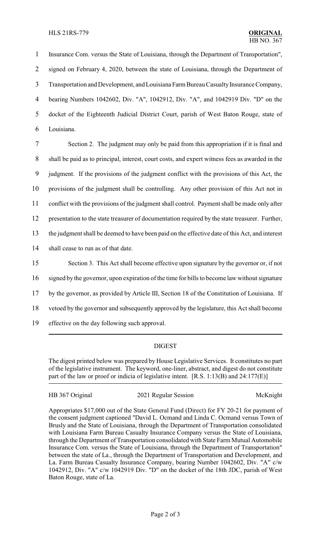Insurance Com. versus the State of Louisiana, through the Department of Transportation", signed on February 4, 2020, between the state of Louisiana, through the Department of Transportation and Development, and LouisianaFarmBureau CasualtyInsurance Company, bearing Numbers 1042602, Div. "A", 1042912, Div. "A", and 1042919 Div. "D" on the docket of the Eighteenth Judicial District Court, parish of West Baton Rouge, state of Louisiana.

 Section 2. The judgment may only be paid from this appropriation if it is final and shall be paid as to principal, interest, court costs, and expert witness fees as awarded in the judgment. If the provisions of the judgment conflict with the provisions of this Act, the provisions of the judgment shall be controlling. Any other provision of this Act not in conflict with the provisions of the judgment shall control. Payment shall be made only after presentation to the state treasurer of documentation required by the state treasurer. Further, the judgment shall be deemed to have been paid on the effective date of this Act, and interest shall cease to run as of that date. Section 3. This Act shall become effective upon signature by the governor or, if not signed by the governor, upon expiration of the time for bills to become law without signature

17 by the governor, as provided by Article III, Section 18 of the Constitution of Louisiana. If

18 vetoed by the governor and subsequently approved by the legislature, this Act shall become

19 effective on the day following such approval.

## DIGEST

The digest printed below was prepared by House Legislative Services. It constitutes no part of the legislative instrument. The keyword, one-liner, abstract, and digest do not constitute part of the law or proof or indicia of legislative intent. [R.S. 1:13(B) and 24:177(E)]

HB 367 Original 2021 Regular Session McKnight

Appropriates \$17,000 out of the State General Fund (Direct) for FY 20-21 for payment of the consent judgment captioned "David L. Ocmand and Linda C. Ocmand versus Town of Brusly and the State of Louisiana, through the Department of Transportation consolidated with Louisiana Farm Bureau Casualty Insurance Company versus the State of Louisiana, through the Department of Transportation consolidated with State Farm Mutual Automobile Insurance Com. versus the State of Louisiana, through the Department of Transportation" between the state of La., through the Department of Transportation and Development, and La. Farm Bureau Casualty Insurance Company, bearing Number 1042602, Div. "A" c/w 1042912, Div. "A" c/w 1042919 Div. "D" on the docket of the 18th JDC, parish of West Baton Rouge, state of La.